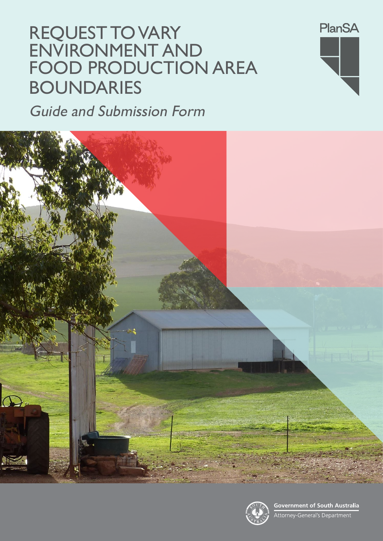# REQUEST TO VARY ENVIRONMENT AND FOOD PRODUCTION AREA BOUNDARIES

Guide and Submission Form





Government of South Australia<br>Attorney-General's Department

**PlanSA**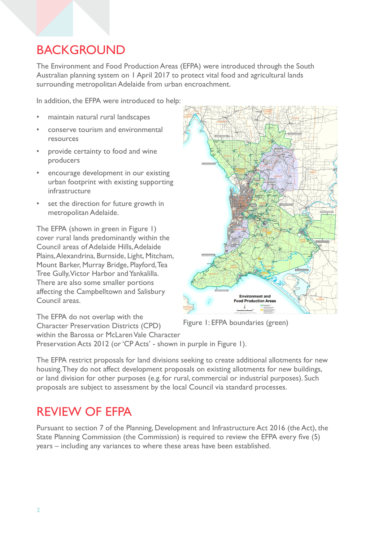### BACKGROUND

The Environment and Food Production Areas (EFPA) were introduced through the South Australian planning system on 1 April 2017 to protect vital food and agricultural lands surrounding metropolitan Adelaide from urban encroachment.

In addition, the EFPA were introduced to help:

- maintain natural rural landscapes
- conserve tourism and environmental resources
- provide certainty to food and wine producers
- encourage development in our existing urban footprint with existing supporting infrastructure
- set the direction for future growth in metropolitan Adelaide.

The EFPA (shown in green in Figure 1) cover rural lands predominantly within the Council areas of Adelaide Hills, Adelaide Plains, Alexandrina, Burnside, Light, Mitcham, Mount Barker, Murray Bridge, Playford, Tea Tree Gully, Victor Harbor and Yankalilla. There are also some smaller portions affecting the Campbelltown and Salisbury Council areas.



Figure 1: EFPA boundaries (green)

The EFPA do not overlap with the Character Preservation Districts (CPD) within the Barossa or McLaren Vale Character Preservation Acts 2012 (or 'CP Acts' - shown in purple in Figure 1).

The EFPA restrict proposals for land divisions seeking to create additional allotments for new housing. They do not affect development proposals on existing allotments for new buildings, or land division for other purposes (e.g. for rural, commercial or industrial purposes). Such proposals are subject to assessment by the local Council via standard processes.

### REVIEW OF EFPA

Pursuant to section 7 of the Planning, Development and Infrastructure Act 2016 (the Act), the State Planning Commission (the Commission) is required to review the EFPA every five (5) years – including any variances to where these areas have been established.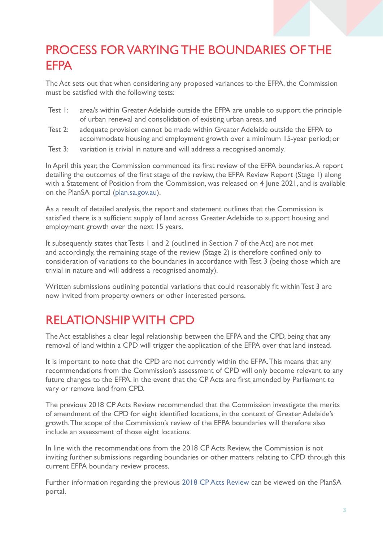### PROCESS FOR VARYING THE BOUNDARIES OF THE **FFPA**

The Act sets out that when considering any proposed variances to the EFPA, the Commission must be satisfied with the following tests:

- Test 1: area/s within Greater Adelaide outside the EFPA are unable to support the principle of urban renewal and consolidation of existing urban areas, and
- Test 2: adequate provision cannot be made within Greater Adelaide outside the EFPA to accommodate housing and employment growth over a minimum 15-year period; or
- Test 3: variation is trivial in nature and will address a recognised anomaly.

In April this year, the Commission commenced its first review of the EFPA boundaries. A report detailing the outcomes of the first stage of the review, the EFPA Review Report (Stage 1) along with a Statement of Position from the Commission, was released on 4 June 2021, and is available on the PlanSA portal [\(plan.sa.gov.au\)](http://plan.sa.gov.au).

As a result of detailed analysis, the report and statement outlines that the Commission is satisfied there is a sufficient supply of land across Greater Adelaide to support housing and employment growth over the next 15 years.

It subsequently states that Tests 1 and 2 (outlined in Section 7 of the Act) are not met and accordingly, the remaining stage of the review (Stage 2) is therefore confined only to consideration of variations to the boundaries in accordance with Test 3 (being those which are trivial in nature and will address a recognised anomaly).

Written submissions outlining potential variations that could reasonably fit within Test 3 are now invited from property owners or other interested persons.

## RELATIONSHIP WITH CPD

The Act establishes a clear legal relationship between the EFPA and the CPD, being that any removal of land within a CPD will trigger the application of the EFPA over that land instead.

It is important to note that the CPD are not currently within the EFPA. This means that any recommendations from the Commission's assessment of CPD will only become relevant to any future changes to the EFPA, in the event that the CP Acts are first amended by Parliament to vary or remove land from CPD.

The previous 2018 CP Acts Review recommended that the Commission investigate the merits of amendment of the CPD for eight identified locations, in the context of Greater Adelaide's growth. The scope of the Commission's review of the EFPA boundaries will therefore also include an assessment of those eight locations.

In line with the recommendations from the 2018 CP Acts Review, the Commission is not inviting further submissions regarding boundaries or other matters relating to CPD through this current EFPA boundary review process.

Further information regarding the previous [2018 CP Acts Review](https://plan.sa.gov.au/__data/assets/pdf_file/0005/481919/Character_Preservation_Acts_Review_-_Review_Outcomes_Report.PDF) can be viewed on the PlanSA portal.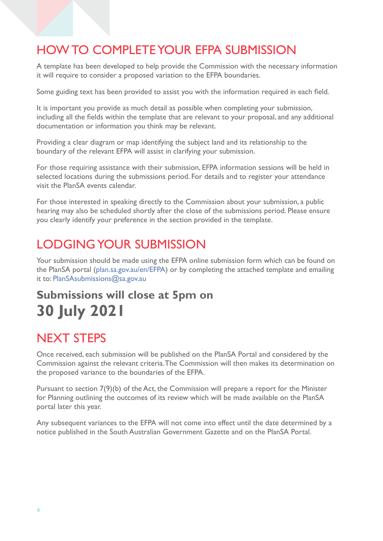### HOW TO COMPLETE YOUR EFPA SUBMISSION

A template has been developed to help provide the Commission with the necessary information it will require to consider a proposed variation to the EFPA boundaries.

Some guiding text has been provided to assist you with the information required in each field.

It is important you provide as much detail as possible when completing your submission, including all the fields within the template that are relevant to your proposal, and any additional documentation or information you think may be relevant.

Providing a clear diagram or map identifying the subject land and its relationship to the boundary of the relevant EFPA will assist in clarifying your submission.

For those requiring assistance with their submission, EFPA information sessions will be held in selected locations during the submissions period. For details and to register your attendance visit the PlanSA events calendar.

For those interested in speaking directly to the Commission about your submission, a public hearing may also be scheduled shortly after the close of the submissions period. Please ensure you clearly identify your preference in the section provided in the template.

### LODGING YOUR SUBMISSION

Your submission should be made using the EFPA online submission form which can be found on the PlanSA portal [\(plan.sa.gov.au/en/EFPA](http://plan.sa.gov.au/en/EFPA)) or by completing the attached template and emailing it to: [PlanSAsubmissions@sa.gov.au](mailto:PlanSAsubmissions%40sa.gov.au?subject=)

### **Submissions will close at 5pm on 30 July 2021**

### NEXT STEPS

Once received, each submission will be published on the PlanSA Portal and considered by the Commission against the relevant criteria. The Commission will then makes its determination on the proposed variance to the boundaries of the EFPA.

Pursuant to section 7(9)(b) of the Act, the Commission will prepare a report for the Minister for Planning outlining the outcomes of its review which will be made available on the PlanSA portal later this year.

Any subsequent variances to the EFPA will not come into effect until the date determined by a notice published in the South Australian Government Gazette and on the PlanSA Portal.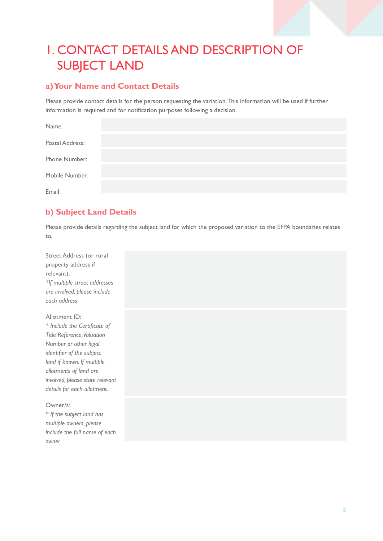## 1. CONTACT DETAILS AND DESCRIPTION OF SUBJECT LAND

#### **a) Your Name and Contact Details**

Please provide contact details for the person requesting the variation. This information will be used if further information is required and for notification purposes following a decision.

| Name:           |  |  |
|-----------------|--|--|
| Postal Address: |  |  |
| Phone Number:   |  |  |
| Mobile Number:  |  |  |
| Email:          |  |  |

### **b) Subject Land Details**

Please provide details regarding the subject land for which the proposed variation to the EFPA boundaries relates to.

| Street Address (or rural      |  |  |  |  |
|-------------------------------|--|--|--|--|
| property address if           |  |  |  |  |
| relevant):                    |  |  |  |  |
| *If multiple street addresses |  |  |  |  |
| are involved, please include  |  |  |  |  |
| each address                  |  |  |  |  |

Allotment ID: *\* Include the Certificate of Title Reference, Valuation Number or other legal identifier of the subject land if known. If multiple allotments of land are involved, please state relevant details for each allotment.* 

#### Owner/s:

*\* If the subject land has multiple owners, please include the full name of each owner*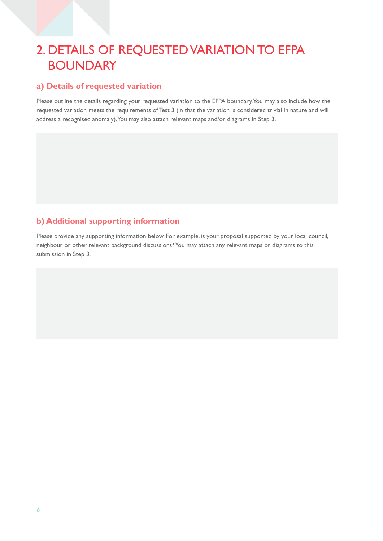### 2. DETAILS OF REQUESTED VARIATION TO EFPA **BOUNDARY**

#### **a) Details of requested variation**

Please outline the details regarding your requested variation to the EFPA boundary. You may also include how the requested variation meets the requirements of Test 3 (in that the variation is considered trivial in nature and will address a recognised anomaly). You may also attach relevant maps and/or diagrams in Step 3.

#### **b) Additional supporting information**

Please provide any supporting information below. For example, is your proposal supported by your local council, neighbour or other relevant background discussions? You may attach any relevant maps or diagrams to this submission in Step 3.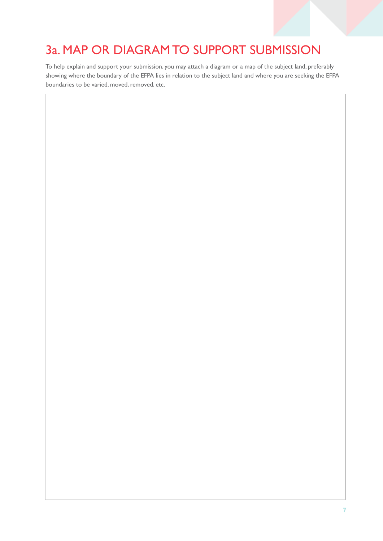## 3a. MAP OR DIAGRAM TO SUPPORT SUBMISSION

To help explain and support your submission, you may attach a diagram or a map of the subject land, preferably showing where the boundary of the EFPA lies in relation to the subject land and where you are seeking the EFPA boundaries to be varied, moved, removed, etc.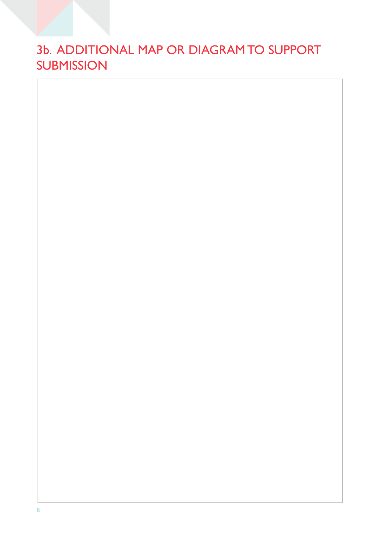### 3b. ADDITIONAL MAP OR DIAGRAM TO SUPPORT **SUBMISSION**

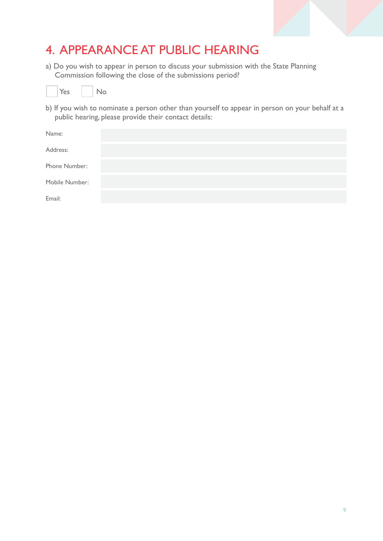### 4. APPEARANCE AT PUBLIC HEARING

a) Do you wish to appear in person to discuss your submission with the State Planning Commission following the close of the submissions period?



b) If you wish to nominate a person other than yourself to appear in person on your behalf at a public hearing, please provide their contact details:

| Name:          |  |  |
|----------------|--|--|
| Address:       |  |  |
| Phone Number:  |  |  |
| Mobile Number: |  |  |
| Email:         |  |  |